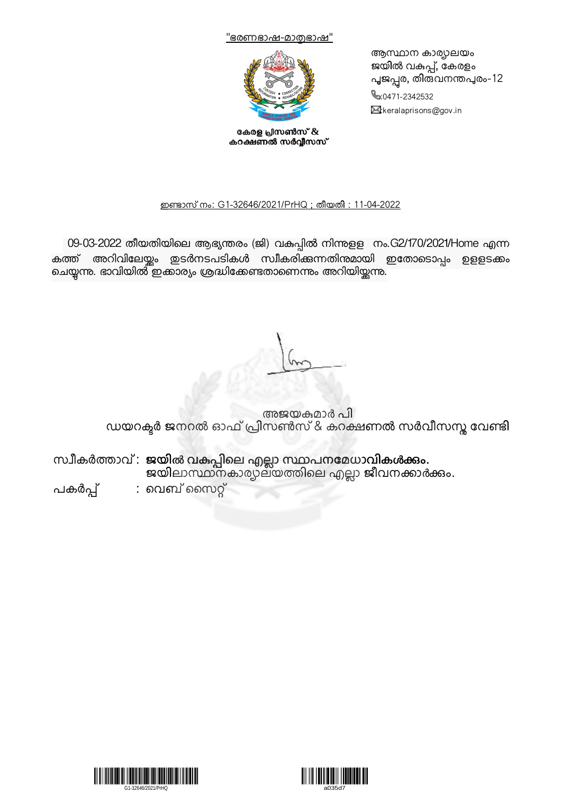



കേരള പ്രസൺസ് & കറക്ഷണൽ സർവ്വീസസ് ആസ്ഥാന കാര്യാലയം ജയിൽ വകുപ്പ്, കേരളം പൂജപ്പര, തിതവനന്തപുരം-12 0471-2342532  $\boxtimes$ :keralaprisons@gov.in

#### <u>ഇണ്ടാസ് നം: G1-32646/2021/PrHQ ; തീയതി : 11-04-2022</u>

09-03-2022 തീയതിയിലെ ആഭ്യന്തരം (ജി) വകുപ്പിൽ നിന്നുളള നം.G2/170/2021/Home എന്ന കത്ത് അറിവിലേയ്യം ഇടർനടപടികൾ സ്വീകരിക്കുന്നതിന്മമായി ഇതോടൊപ്പം ഉളളടക്കം ചെയ്യന്നു. ഭാവിയിൽ ഇക്കാര്യം ശ്രദ്ധിക്കേണ്ടതാണെന്നും അറിയിയ്ക്കന്നു.

അജയമാർ പി ഡയറക്ടർ ജനറൽ ഓഫ പ്രിസൺസ & കറക്ഷണൽ സർവിസസ്സ വേണ്ടി

സ്വീകർത്താവ : ജയ്യൽ വകുപ്പിലെ എല്ലാ സ്ഥാപനമേധാവികൾക്കും. ജയിലാസ്ഥാനകാര്യാലയത്തിലെ എല്ലാ ജീവനക്കാർക്കും.

പകർപ്പ് : വെബ്സൈറ്റ്



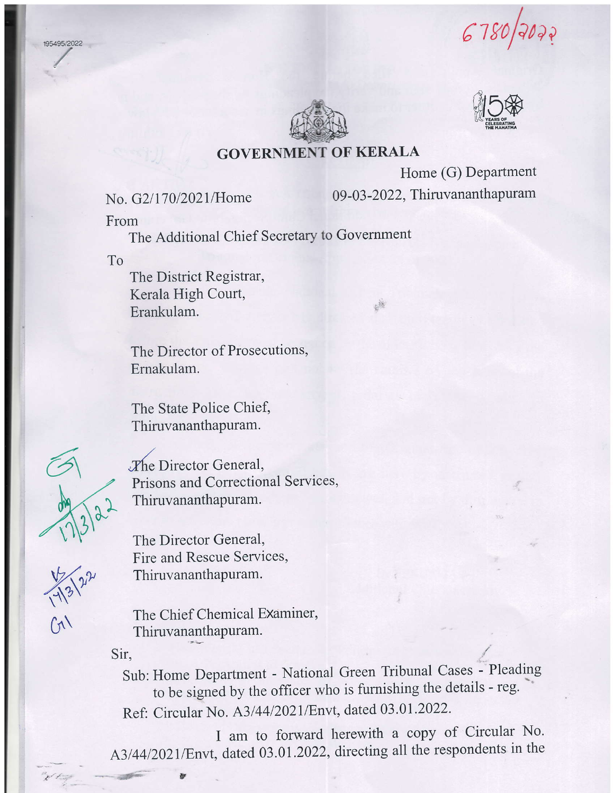st rofana





Home (G) Department 09 -03 -2022, Thiruvananthapuram

藤

## No. G2/170/2021/Home

From

The Additional Chief Secretary to Government

To

195495/2022

The District Registrar, Kerala High Court, Erankulam.

The Director of Prosecutions, Ernakulam.

The State Police Chief, Thiruvananthapuram.



 $-13^{21}$ 

 $O($ 

The Director General,<br>Prisons and Correctional Services, Thiruvananthapuram.

> The Director General, Fire and Rescue Services, Thiruvananthapuram.

The Chief Chemical Examiner. Thiruvananthapuram.

 $\sin$ ,  $\leftarrow$  /

 $\frac{1}{2}$ 

Sub: Home Department - National Green Tribunal Cases - Pleading to be signed by the officer who is furnishing the details - reg. Ref: Circular No. A3/44/2021/Envt, dated 03.01.2022.

I am to forward herewith a copy of Circular No. A3/44/2021/Envt, dated 03.01.2022, directing all the respondents in the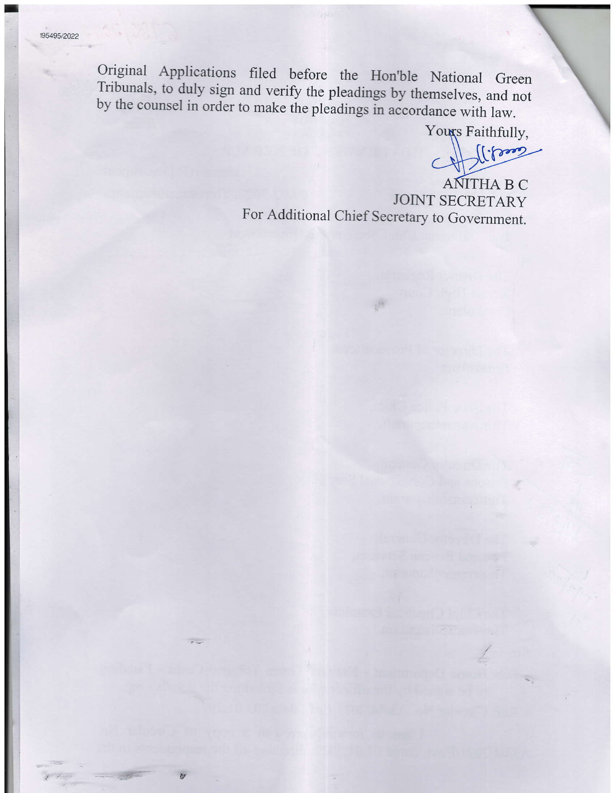Original Applications filed before the Hon'ble National Green Tribunals, to duly sign and verify the pleadings by themselves, and not by the counsel in order to make the pleadings in accordance with law.

Youxs Faithfully,

 $\log$  $\subset$ 

**ANITHA B C JOINT SECRETARY** For Additional Chief Secretary to Government.

 $\frac{1}{2}$